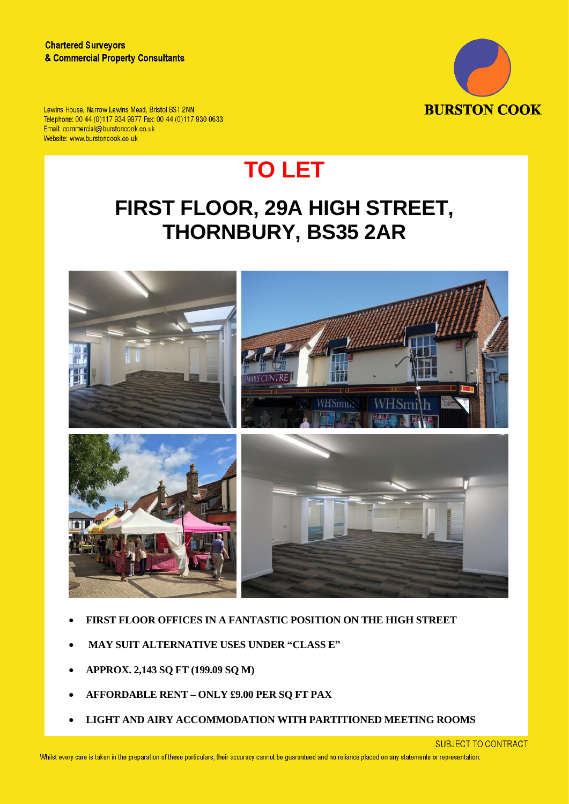

Lewins House, Narrow Lewins Mead, Bristol BS1 2NN Telephone: 00 44 (0)117 934 9977 Fax: 00 44 (0)117 930 0633 Email: commercial@burstoncook.co.uk Website: www.burstoncook.co.uk

# **TO LET**

## **FIRST FLOOR, 29A HIGH STREET, THORNBURY, BS35 2AR**



- **FIRST FLOOR OFFICES IN A FANTASTIC POSITION ON THE HIGH STREET**
- **MAY SUIT ALTERNATIVE USES UNDER "CLASS E"**
- **APPROX. 2,143 SQ FT (199.09 SQ M)**
- **AFFORDABLE RENT – ONLY £9.00 PER SQ FT PAX**
- **LIGHT AND AIRY ACCOMMODATION WITH PARTITIONED MEETING ROOMS**

**SUBJECT TO CONTRACT**